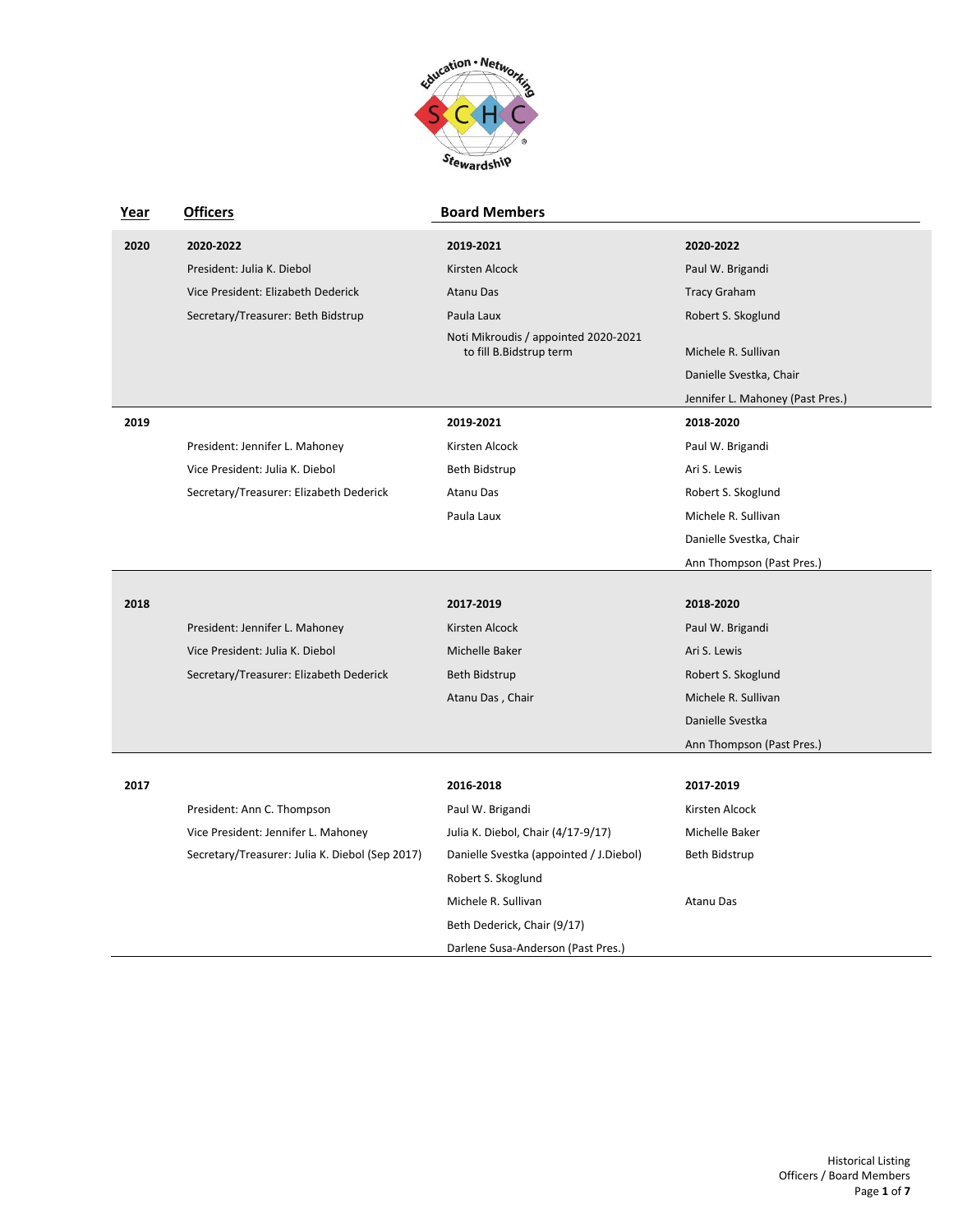

| Year | <b>Officers</b>                                 | <b>Board Members</b>                    |                                  |
|------|-------------------------------------------------|-----------------------------------------|----------------------------------|
| 2020 | 2020-2022                                       | 2019-2021                               | 2020-2022                        |
|      | President: Julia K. Diebol                      | Kirsten Alcock                          | Paul W. Brigandi                 |
|      | Vice President: Elizabeth Dederick              | <b>Atanu Das</b>                        | <b>Tracy Graham</b>              |
|      | Secretary/Treasurer: Beth Bidstrup              | Paula Laux                              | Robert S. Skoglund               |
|      |                                                 | Noti Mikroudis / appointed 2020-2021    |                                  |
|      |                                                 | to fill B.Bidstrup term                 | Michele R. Sullivan              |
|      |                                                 |                                         | Danielle Svestka, Chair          |
|      |                                                 |                                         | Jennifer L. Mahoney (Past Pres.) |
| 2019 |                                                 | 2019-2021                               | 2018-2020                        |
|      | President: Jennifer L. Mahoney                  | Kirsten Alcock                          | Paul W. Brigandi                 |
|      | Vice President: Julia K. Diebol                 | Beth Bidstrup                           | Ari S. Lewis                     |
|      | Secretary/Treasurer: Elizabeth Dederick         | Atanu Das                               | Robert S. Skoglund               |
|      |                                                 | Paula Laux                              | Michele R. Sullivan              |
|      |                                                 |                                         | Danielle Svestka, Chair          |
|      |                                                 |                                         | Ann Thompson (Past Pres.)        |
| 2018 |                                                 | 2017-2019                               | 2018-2020                        |
|      | President: Jennifer L. Mahoney                  | Kirsten Alcock                          | Paul W. Brigandi                 |
|      | Vice President: Julia K. Diebol                 |                                         |                                  |
|      |                                                 | Michelle Baker                          | Ari S. Lewis                     |
|      | Secretary/Treasurer: Elizabeth Dederick         | Beth Bidstrup                           | Robert S. Skoglund               |
|      |                                                 | Atanu Das, Chair                        | Michele R. Sullivan              |
|      |                                                 |                                         | Danielle Svestka                 |
|      |                                                 |                                         | Ann Thompson (Past Pres.)        |
| 2017 |                                                 | 2016-2018                               | 2017-2019                        |
|      | President: Ann C. Thompson                      | Paul W. Brigandi                        | Kirsten Alcock                   |
|      | Vice President: Jennifer L. Mahoney             | Julia K. Diebol, Chair (4/17-9/17)      | Michelle Baker                   |
|      | Secretary/Treasurer: Julia K. Diebol (Sep 2017) | Danielle Svestka (appointed / J.Diebol) | Beth Bidstrup                    |
|      |                                                 | Robert S. Skoglund                      |                                  |
|      |                                                 | Michele R. Sullivan                     | Atanu Das                        |
|      |                                                 | Beth Dederick, Chair (9/17)             |                                  |
|      |                                                 | Darlene Susa-Anderson (Past Pres.)      |                                  |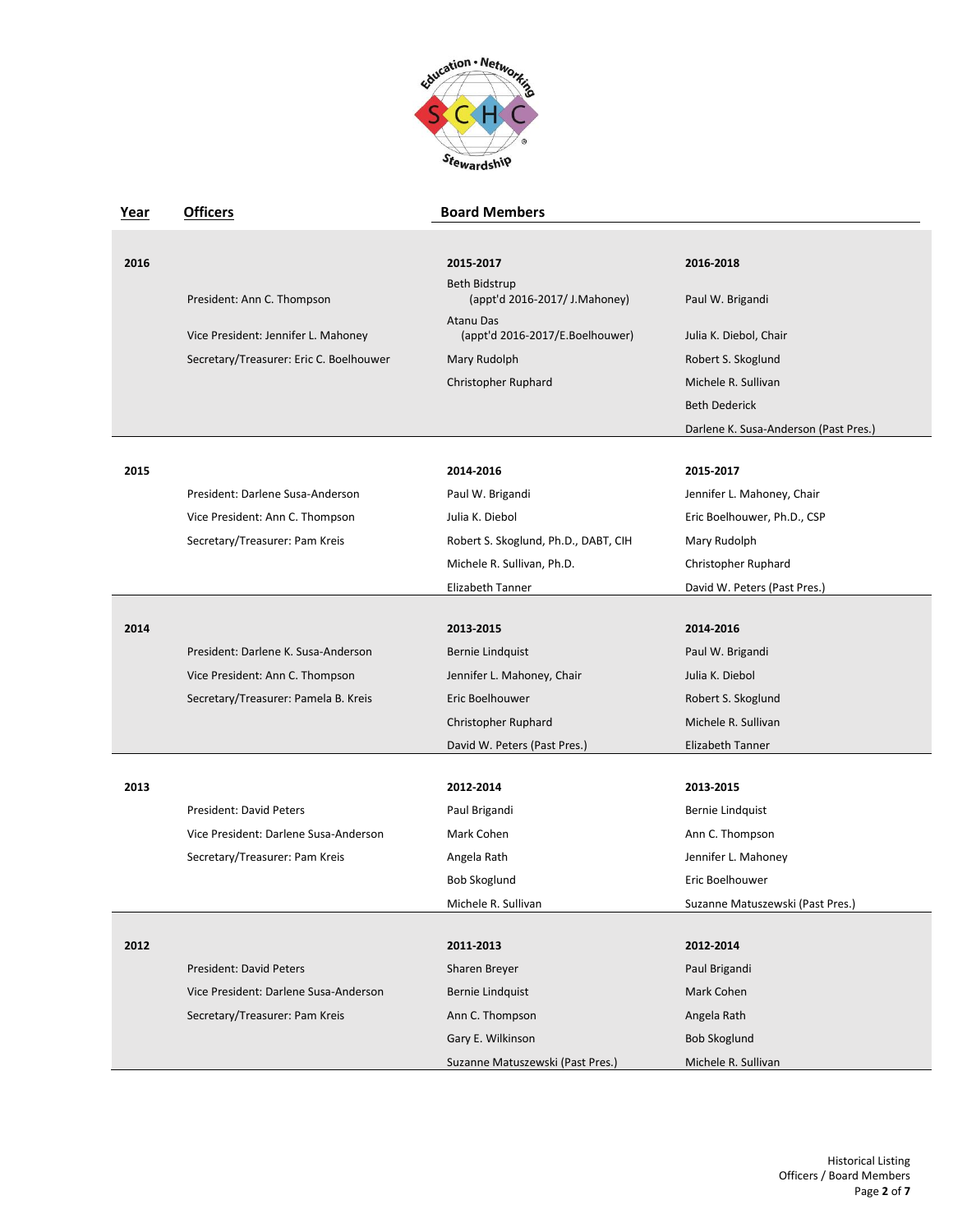

| Year | <b>Officers</b>                         | <b>Board Members</b>                           |                                       |
|------|-----------------------------------------|------------------------------------------------|---------------------------------------|
|      |                                         |                                                |                                       |
| 2016 |                                         | 2015-2017                                      | 2016-2018                             |
|      | President: Ann C. Thompson              | Beth Bidstrup<br>(appt'd 2016-2017/ J.Mahoney) | Paul W. Brigandi                      |
|      | Vice President: Jennifer L. Mahoney     | Atanu Das<br>(appt'd 2016-2017/E.Boelhouwer)   | Julia K. Diebol, Chair                |
|      | Secretary/Treasurer: Eric C. Boelhouwer | Mary Rudolph                                   | Robert S. Skoglund                    |
|      |                                         | Christopher Ruphard                            | Michele R. Sullivan                   |
|      |                                         |                                                | <b>Beth Dederick</b>                  |
|      |                                         |                                                | Darlene K. Susa-Anderson (Past Pres.) |
| 2015 |                                         | 2014-2016                                      | 2015-2017                             |
|      | President: Darlene Susa-Anderson        | Paul W. Brigandi                               | Jennifer L. Mahoney, Chair            |
|      | Vice President: Ann C. Thompson         | Julia K. Diebol                                | Eric Boelhouwer, Ph.D., CSP           |
|      | Secretary/Treasurer: Pam Kreis          | Robert S. Skoglund, Ph.D., DABT, CIH           | Mary Rudolph                          |
|      |                                         | Michele R. Sullivan, Ph.D.                     | Christopher Ruphard                   |
|      |                                         | Elizabeth Tanner                               | David W. Peters (Past Pres.)          |
|      |                                         |                                                |                                       |
| 2014 |                                         | 2013-2015                                      | 2014-2016                             |
|      | President: Darlene K. Susa-Anderson     | Bernie Lindquist                               | Paul W. Brigandi                      |
|      | Vice President: Ann C. Thompson         | Jennifer L. Mahoney, Chair                     | Julia K. Diebol                       |
|      | Secretary/Treasurer: Pamela B. Kreis    | Eric Boelhouwer                                | Robert S. Skoglund                    |
|      |                                         | Christopher Ruphard                            | Michele R. Sullivan                   |
|      |                                         | David W. Peters (Past Pres.)                   | Elizabeth Tanner                      |
|      |                                         |                                                |                                       |
| 2013 |                                         | 2012-2014                                      | 2013 2015                             |
|      | <b>President: David Peters</b>          | Paul Brigandi                                  | Bernie Lindquist                      |
|      | Vice President: Darlene Susa-Anderson   | Mark Cohen                                     | Ann C. Thompson                       |
|      | Secretary/Treasurer: Pam Kreis          | Angela Rath                                    | Jennifer L. Mahoney                   |
|      |                                         | Bob Skoglund                                   | Eric Boelhouwer                       |
|      |                                         | Michele R. Sullivan                            | Suzanne Matuszewski (Past Pres.)      |
| 2012 |                                         | 2011-2013                                      | 2012-2014                             |
|      | <b>President: David Peters</b>          | Sharen Breyer                                  | Paul Brigandi                         |
|      | Vice President: Darlene Susa-Anderson   | <b>Bernie Lindquist</b>                        | Mark Cohen                            |
|      | Secretary/Treasurer: Pam Kreis          | Ann C. Thompson                                | Angela Rath                           |
|      |                                         | Gary E. Wilkinson                              | <b>Bob Skoglund</b>                   |
|      |                                         | Suzanne Matuszewski (Past Pres.)               | Michele R. Sullivan                   |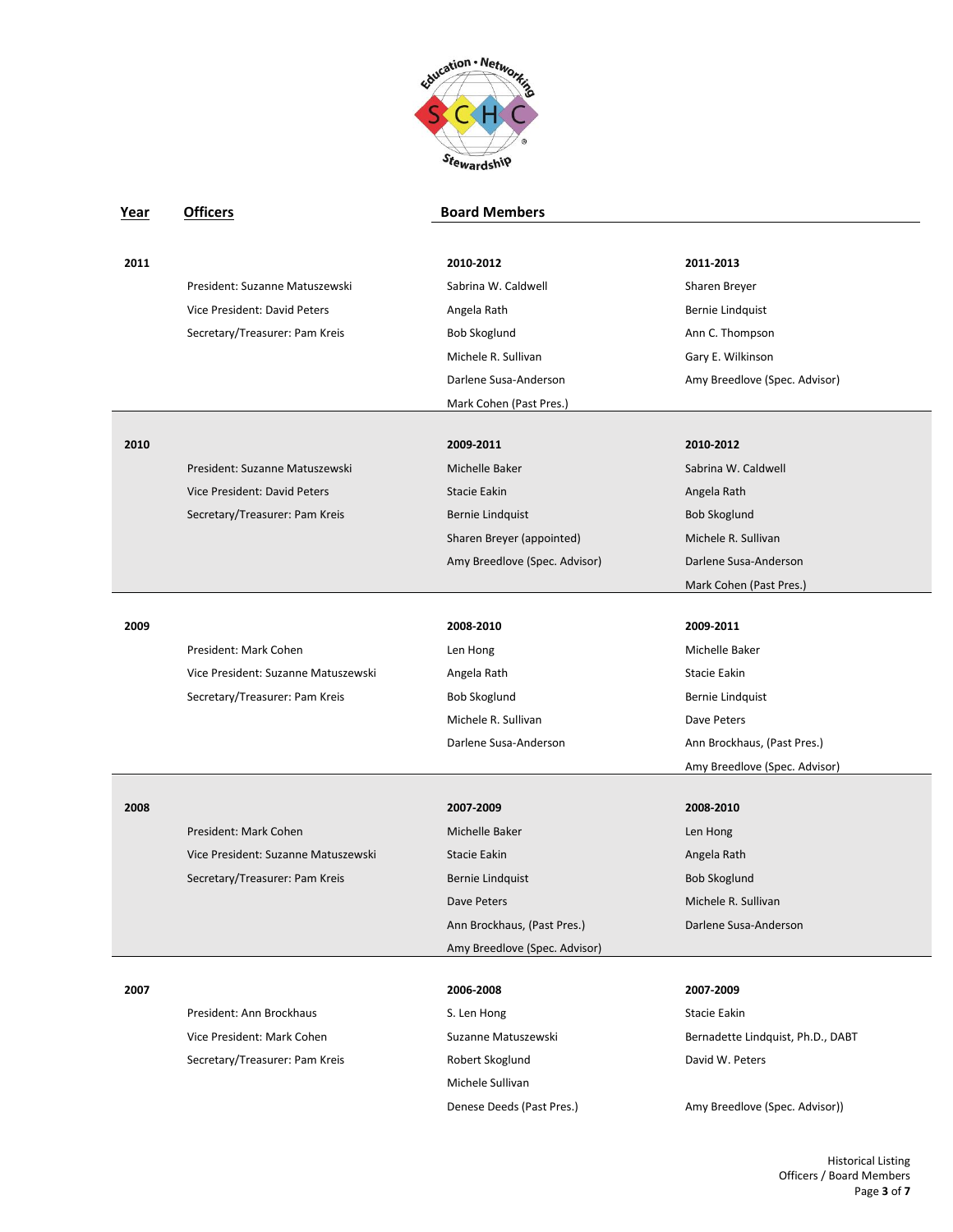

| Year | <b>Officers</b>                     | <b>Board Members</b>          |                                   |
|------|-------------------------------------|-------------------------------|-----------------------------------|
|      |                                     |                               |                                   |
| 2011 |                                     | 2010-2012                     | 2011-2013                         |
|      | President: Suzanne Matuszewski      | Sabrina W. Caldwell           | Sharen Breyer                     |
|      | Vice President: David Peters        | Angela Rath                   | Bernie Lindquist                  |
|      | Secretary/Treasurer: Pam Kreis      | Bob Skoglund                  | Ann C. Thompson                   |
|      |                                     | Michele R. Sullivan           | Gary E. Wilkinson                 |
|      |                                     | Darlene Susa-Anderson         | Amy Breedlove (Spec. Advisor)     |
|      |                                     | Mark Cohen (Past Pres.)       |                                   |
| 2010 |                                     | 2009-2011                     | 2010-2012                         |
|      | President: Suzanne Matuszewski      | Michelle Baker                | Sabrina W. Caldwell               |
|      | Vice President: David Peters        | Stacie Eakin                  | Angela Rath                       |
|      | Secretary/Treasurer: Pam Kreis      | Bernie Lindquist              | Bob Skoglund                      |
|      |                                     | Sharen Breyer (appointed)     | Michele R. Sullivan               |
|      |                                     | Amy Breedlove (Spec. Advisor) | Darlene Susa-Anderson             |
|      |                                     |                               | Mark Cohen (Past Pres.)           |
|      |                                     |                               |                                   |
| 2009 |                                     | 2008-2010                     | 2009-2011                         |
|      | President: Mark Cohen               | Len Hong                      | Michelle Baker                    |
|      | Vice President: Suzanne Matuszewski | Angela Rath                   | Stacie Eakin                      |
|      | Secretary/Treasurer: Pam Kreis      | Bob Skoglund                  | <b>Bernie Lindquist</b>           |
|      |                                     | Michele R. Sullivan           | Dave Peters                       |
|      |                                     | Darlene Susa-Anderson         | Ann Brockhaus, (Past Pres.)       |
|      |                                     |                               | Amy Breedlove (Spec. Advisor)     |
|      |                                     |                               |                                   |
| 2008 |                                     | 2007-2009                     | 2008-2010                         |
|      | President: Mark Cohen               | Michelle Baker                | Len Hong                          |
|      | Vice President: Suzanne Matuszewski | Stacie Eakin                  | Angela Rath                       |
|      | Secretary/Treasurer: Pam Kreis      | <b>Bernie Lindquist</b>       | <b>Bob Skoglund</b>               |
|      |                                     | Dave Peters                   | Michele R. Sullivan               |
|      |                                     | Ann Brockhaus, (Past Pres.)   | Darlene Susa-Anderson             |
|      |                                     | Amy Breedlove (Spec. Advisor) |                                   |
| 2007 |                                     | 2006-2008                     | 2007-2009                         |
|      | President: Ann Brockhaus            | S. Len Hong                   | Stacie Eakin                      |
|      | Vice President: Mark Cohen          | Suzanne Matuszewski           | Bernadette Lindquist, Ph.D., DABT |
|      | Secretary/Treasurer: Pam Kreis      | Robert Skoglund               | David W. Peters                   |
|      |                                     | Michele Sullivan              |                                   |

Historical Listing Officers / Board Members Page **3** of **7**

Denese Deeds (Past Pres.) Amy Breedlove (Spec. Advisor))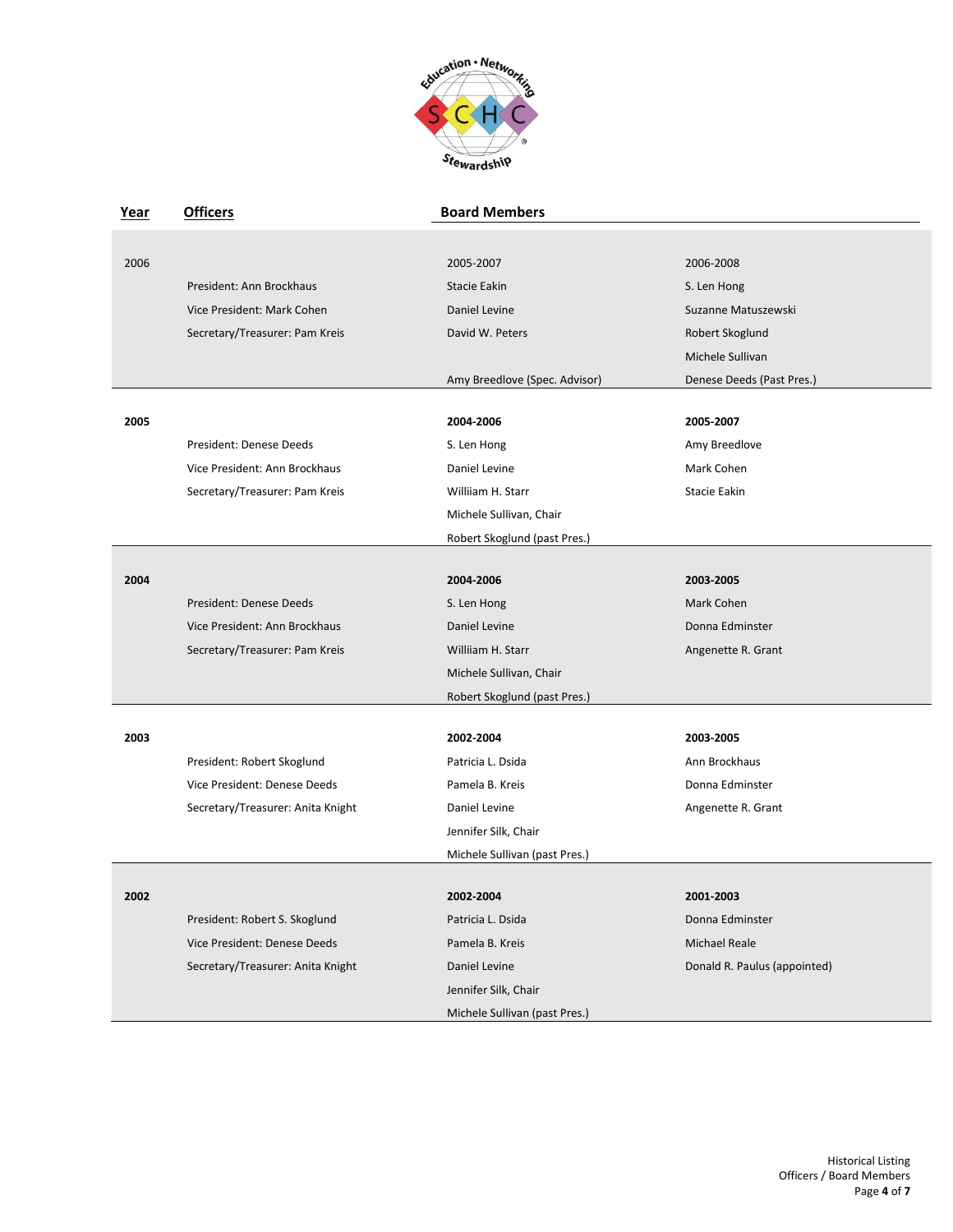

| <u>Year</u> | <b>Officers</b>                   | <b>Board Members</b>          |                              |
|-------------|-----------------------------------|-------------------------------|------------------------------|
|             |                                   |                               |                              |
| 2006        |                                   | 2005-2007                     | 2006-2008                    |
|             | President: Ann Brockhaus          | Stacie Eakin                  | S. Len Hong                  |
|             | Vice President: Mark Cohen        | Daniel Levine                 | Suzanne Matuszewski          |
|             | Secretary/Treasurer: Pam Kreis    | David W. Peters               | Robert Skoglund              |
|             |                                   |                               | Michele Sullivan             |
|             |                                   | Amy Breedlove (Spec. Advisor) | Denese Deeds (Past Pres.)    |
|             |                                   |                               |                              |
| 2005        |                                   | 2004-2006                     | 2005-2007                    |
|             | President: Denese Deeds           | S. Len Hong                   | Amy Breedlove                |
|             | Vice President: Ann Brockhaus     | Daniel Levine                 | Mark Cohen                   |
|             | Secretary/Treasurer: Pam Kreis    | Williiam H. Starr             | <b>Stacie Eakin</b>          |
|             |                                   | Michele Sullivan, Chair       |                              |
|             |                                   | Robert Skoglund (past Pres.)  |                              |
|             |                                   |                               |                              |
| 2004        |                                   | 2004-2006                     | 2003-2005                    |
|             | President: Denese Deeds           | S. Len Hong                   | Mark Cohen                   |
|             | Vice President: Ann Brockhaus     | Daniel Levine                 | Donna Edminster              |
|             | Secretary/Treasurer: Pam Kreis    | Williiam H. Starr             | Angenette R. Grant           |
|             |                                   | Michele Sullivan, Chair       |                              |
|             |                                   | Robert Skoglund (past Pres.)  |                              |
| 2003        |                                   | 2002-2004                     | 2003-2005                    |
|             | President: Robert Skoglund        | Patricia L. Dsida             | Ann Brockhaus                |
|             | Vice President: Denese Deeds      | Pamela B. Kreis               | Donna Edminster              |
|             | Secretary/Treasurer: Anita Knight | Daniel Levine                 | Angenette R. Grant           |
|             |                                   | Jennifer Silk, Chair          |                              |
|             |                                   | Michele Sullivan (past Pres.) |                              |
|             |                                   |                               |                              |
| 2002        |                                   | 2002-2004                     | 2001-2003                    |
|             | President: Robert S. Skoglund     | Patricia L. Dsida             | Donna Edminster              |
|             | Vice President: Denese Deeds      | Pamela B. Kreis               | Michael Reale                |
|             | Secretary/Treasurer: Anita Knight | Daniel Levine                 | Donald R. Paulus (appointed) |
|             |                                   | Jennifer Silk, Chair          |                              |
|             |                                   | Michele Sullivan (past Pres.) |                              |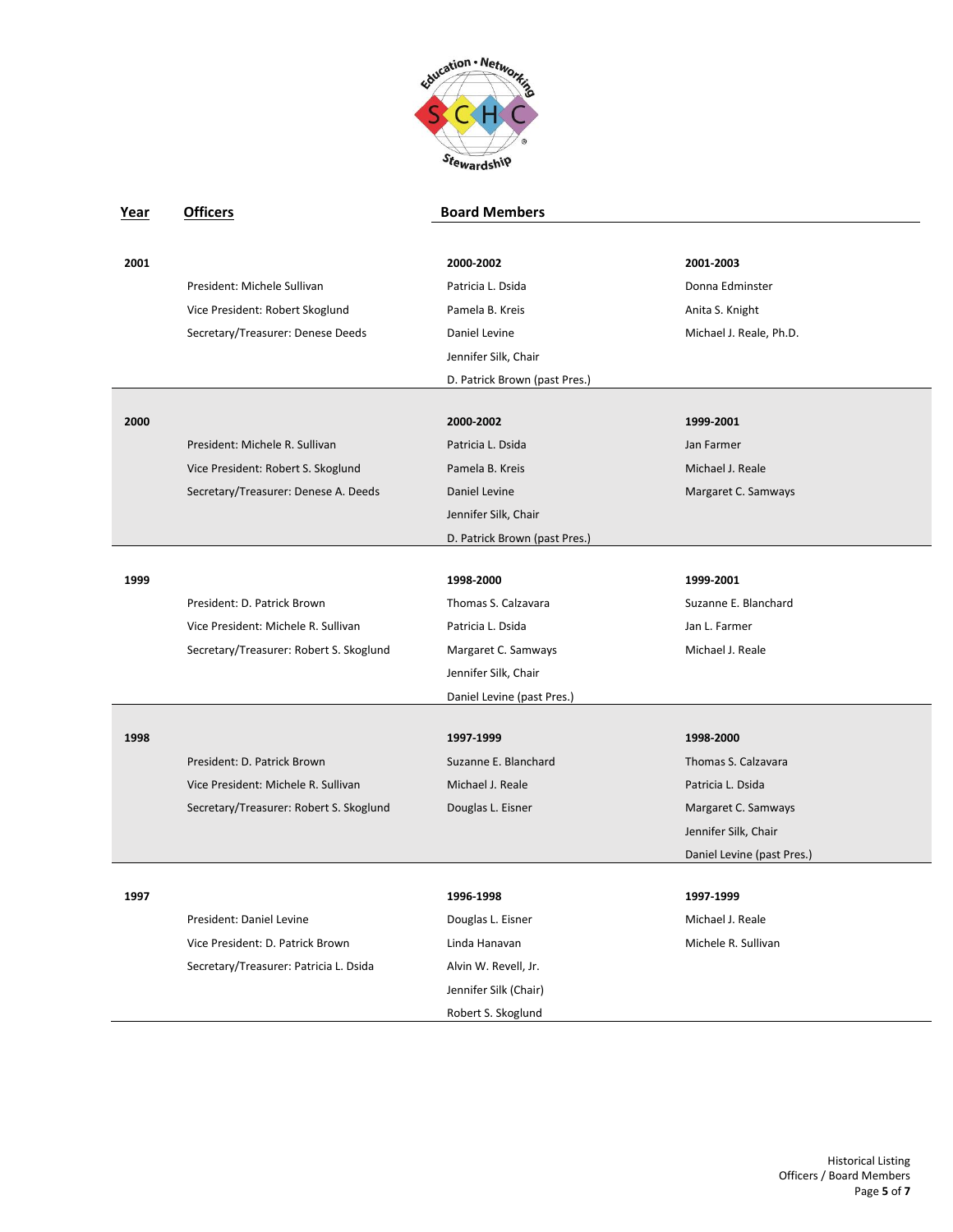

| Year | <b>Officers</b>                         | <b>Board Members</b>          |                            |
|------|-----------------------------------------|-------------------------------|----------------------------|
|      |                                         |                               |                            |
| 2001 |                                         | 2000-2002                     | 2001-2003                  |
|      | President: Michele Sullivan             | Patricia L. Dsida             | Donna Edminster            |
|      | Vice President: Robert Skoglund         | Pamela B. Kreis               | Anita S. Knight            |
|      | Secretary/Treasurer: Denese Deeds       | Daniel Levine                 | Michael J. Reale, Ph.D.    |
|      |                                         | Jennifer Silk, Chair          |                            |
|      |                                         | D. Patrick Brown (past Pres.) |                            |
|      |                                         |                               |                            |
| 2000 |                                         | 2000-2002                     | 1999-2001                  |
|      | President: Michele R. Sullivan          | Patricia L. Dsida             | Jan Farmer                 |
|      | Vice President: Robert S. Skoglund      | Pamela B. Kreis               | Michael J. Reale           |
|      | Secretary/Treasurer: Denese A. Deeds    | Daniel Levine                 | Margaret C. Samways        |
|      |                                         | Jennifer Silk, Chair          |                            |
|      |                                         | D. Patrick Brown (past Pres.) |                            |
|      |                                         |                               |                            |
| 1999 |                                         | 1998-2000                     | 1999-2001                  |
|      | President: D. Patrick Brown             | Thomas S. Calzavara           | Suzanne E. Blanchard       |
|      | Vice President: Michele R. Sullivan     | Patricia L. Dsida             | Jan L. Farmer              |
|      | Secretary/Treasurer: Robert S. Skoglund | Margaret C. Samways           | Michael J. Reale           |
|      |                                         | Jennifer Silk, Chair          |                            |
|      |                                         | Daniel Levine (past Pres.)    |                            |
|      |                                         |                               |                            |
| 1998 |                                         | 1997-1999                     | 1998-2000                  |
|      | President: D. Patrick Brown             | Suzanne E. Blanchard          | Thomas S. Calzavara        |
|      | Vice President: Michele R. Sullivan     | Michael J. Reale              | Patricia L. Dsida          |
|      | Secretary/Treasurer: Robert S. Skoglund | Douglas L. Eisner             | Margaret C. Samways        |
|      |                                         |                               | Jennifer Silk, Chair       |
|      |                                         |                               | Daniel Levine (past Pres.) |
| 1997 |                                         | 1996-1998                     | 1997-1999                  |
|      | President: Daniel Levine                | Douglas L. Eisner             | Michael J. Reale           |
|      | Vice President: D. Patrick Brown        | Linda Hanavan                 | Michele R. Sullivan        |
|      |                                         |                               |                            |
|      | Secretary/Treasurer: Patricia L. Dsida  | Alvin W. Revell, Jr.          |                            |
|      |                                         | Jennifer Silk (Chair)         |                            |
|      |                                         | Robert S. Skoglund            |                            |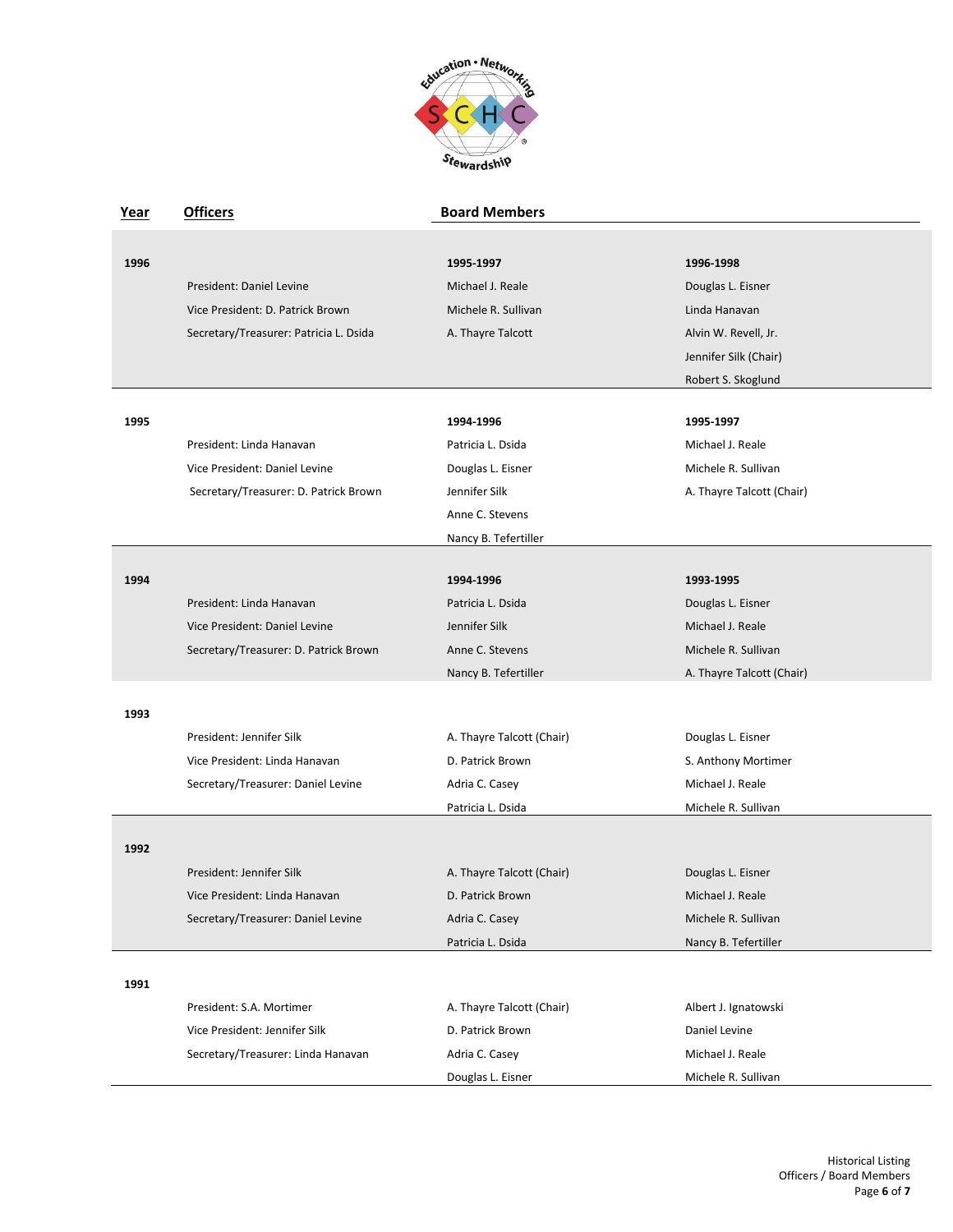

| <u>Year</u> | <b>Officers</b>                        | <b>Board Members</b>      |                           |
|-------------|----------------------------------------|---------------------------|---------------------------|
|             |                                        |                           |                           |
| 1996        |                                        | 1995-1997                 | 1996-1998                 |
|             | President: Daniel Levine               | Michael J. Reale          | Douglas L. Eisner         |
|             | Vice President: D. Patrick Brown       | Michele R. Sullivan       | Linda Hanavan             |
|             | Secretary/Treasurer: Patricia L. Dsida | A. Thayre Talcott         | Alvin W. Revell, Jr.      |
|             |                                        |                           | Jennifer Silk (Chair)     |
|             |                                        |                           | Robert S. Skoglund        |
|             |                                        |                           |                           |
| 1995        |                                        | 1994-1996                 | 1995-1997                 |
|             | President: Linda Hanavan               | Patricia L. Dsida         | Michael J. Reale          |
|             | Vice President: Daniel Levine          | Douglas L. Eisner         | Michele R. Sullivan       |
|             | Secretary/Treasurer: D. Patrick Brown  | Jennifer Silk             | A. Thayre Talcott (Chair) |
|             |                                        | Anne C. Stevens           |                           |
|             |                                        | Nancy B. Tefertiller      |                           |
|             |                                        |                           |                           |
| 1994        |                                        | 1994-1996                 | 1993-1995                 |
|             | President: Linda Hanavan               | Patricia L. Dsida         | Douglas L. Eisner         |
|             | Vice President: Daniel Levine          | Jennifer Silk             | Michael J. Reale          |
|             | Secretary/Treasurer: D. Patrick Brown  | Anne C. Stevens           | Michele R. Sullivan       |
|             |                                        | Nancy B. Tefertiller      | A. Thayre Talcott (Chair) |
| 1993        |                                        |                           |                           |
|             | President: Jennifer Silk               | A. Thayre Talcott (Chair) | Douglas L. Eisner         |
|             | Vice President: Linda Hanavan          | D. Patrick Brown          | S. Anthony Mortimer       |
|             | Secretary/Treasurer: Daniel Levine     | Adria C. Casey            | Michael J. Reale          |
|             |                                        | Patricia L. Dsida         | Michele R. Sullivan       |
|             |                                        |                           |                           |
| 1992        |                                        |                           |                           |
|             | President: Jennifer Silk               | A. Thayre Talcott (Chair) | Douglas L. Eisner         |
|             | Vice President: Linda Hanavan          | D. Patrick Brown          | Michael J. Reale          |
|             | Secretary/Treasurer: Daniel Levine     | Adria C. Casey            | Michele R. Sullivan       |
|             |                                        | Patricia L. Dsida         | Nancy B. Tefertiller      |
|             |                                        |                           |                           |
| 1991        |                                        |                           |                           |
|             | President: S.A. Mortimer               | A. Thayre Talcott (Chair) | Albert J. Ignatowski      |
|             | Vice President: Jennifer Silk          | D. Patrick Brown          | Daniel Levine             |
|             | Secretary/Treasurer: Linda Hanavan     | Adria C. Casey            | Michael J. Reale          |
|             |                                        | Douglas L. Eisner         | Michele R. Sullivan       |